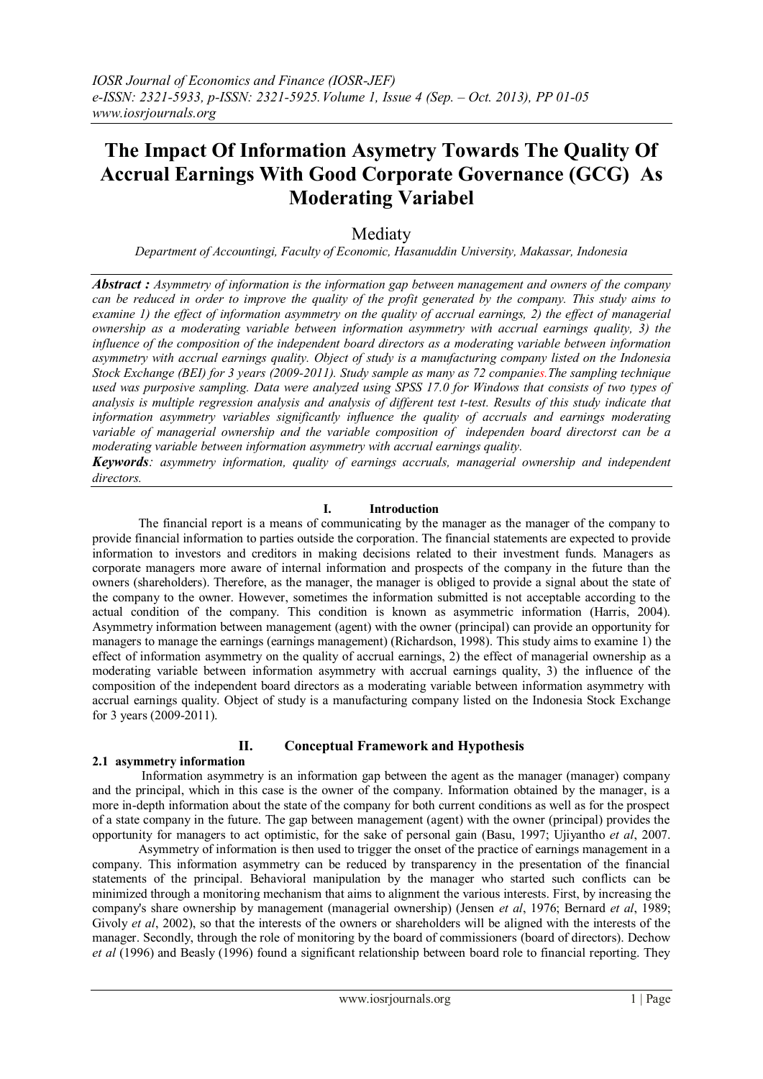## **The Impact Of Information Asymetry Towards The Quality Of Accrual Earnings With Good Corporate Governance (GCG) As Moderating Variabel**

## Mediaty

*Department of Accountingi, Faculty of Economic, Hasanuddin University, Makassar, Indonesia*

*Abstract : Asymmetry of information is the information gap between management and owners of the company can be reduced in order to improve the quality of the profit generated by the company. This study aims to examine 1) the effect of information asymmetry on the quality of accrual earnings, 2) the effect of managerial ownership as a moderating variable between information asymmetry with accrual earnings quality, 3) the influence of the composition of the independent board directors as a moderating variable between information asymmetry with accrual earnings quality. Object of study is a manufacturing company listed on the Indonesia Stock Exchange (BEI) for 3 years (2009-2011). Study sample as many as 72 companies.The sampling technique used was purposive sampling. Data were analyzed using SPSS 17.0 for Windows that consists of two types of analysis is multiple regression analysis and analysis of different test t-test. Results of this study indicate that information asymmetry variables significantly influence the quality of accruals and earnings moderating variable of managerial ownership and the variable composition of independen board directorst can be a moderating variable between information asymmetry with accrual earnings quality.*

*Keywords: asymmetry information, quality of earnings accruals, managerial ownership and independent directors.*

## **I. Introduction**

The financial report is a means of communicating by the manager as the manager of the company to provide financial information to parties outside the corporation. The financial statements are expected to provide information to investors and creditors in making decisions related to their investment funds. Managers as corporate managers more aware of internal information and prospects of the company in the future than the owners (shareholders). Therefore, as the manager, the manager is obliged to provide a signal about the state of the company to the owner. However, sometimes the information submitted is not acceptable according to the actual condition of the company. This condition is known as asymmetric information (Harris, 2004). Asymmetry information between management (agent) with the owner (principal) can provide an opportunity for managers to manage the earnings (earnings management) (Richardson, 1998). This study aims to examine 1) the effect of information asymmetry on the quality of accrual earnings, 2) the effect of managerial ownership as a moderating variable between information asymmetry with accrual earnings quality, 3) the influence of the composition of the independent board directors as a moderating variable between information asymmetry with accrual earnings quality. Object of study is a manufacturing company listed on the Indonesia Stock Exchange for 3 years (2009-2011).

## **II. Conceptual Framework and Hypothesis**

## **2.1 asymmetry information**

Information asymmetry is an information gap between the agent as the manager (manager) company and the principal, which in this case is the owner of the company. Information obtained by the manager, is a more in-depth information about the state of the company for both current conditions as well as for the prospect of a state company in the future. The gap between management (agent) with the owner (principal) provides the opportunity for managers to act optimistic, for the sake of personal gain (Basu, 1997; Ujiyantho *et al*, 2007.

Asymmetry of information is then used to trigger the onset of the practice of earnings management in a company. This information asymmetry can be reduced by transparency in the presentation of the financial statements of the principal. Behavioral manipulation by the manager who started such conflicts can be minimized through a monitoring mechanism that aims to alignment the various interests. First, by increasing the company's share ownership by management (managerial ownership) (Jensen *et al*, 1976; Bernard *et al*, 1989; Givoly *et al*, 2002), so that the interests of the owners or shareholders will be aligned with the interests of the manager. Secondly, through the role of monitoring by the board of commissioners (board of directors). Dechow *et al* (1996) and Beasly (1996) found a significant relationship between board role to financial reporting. They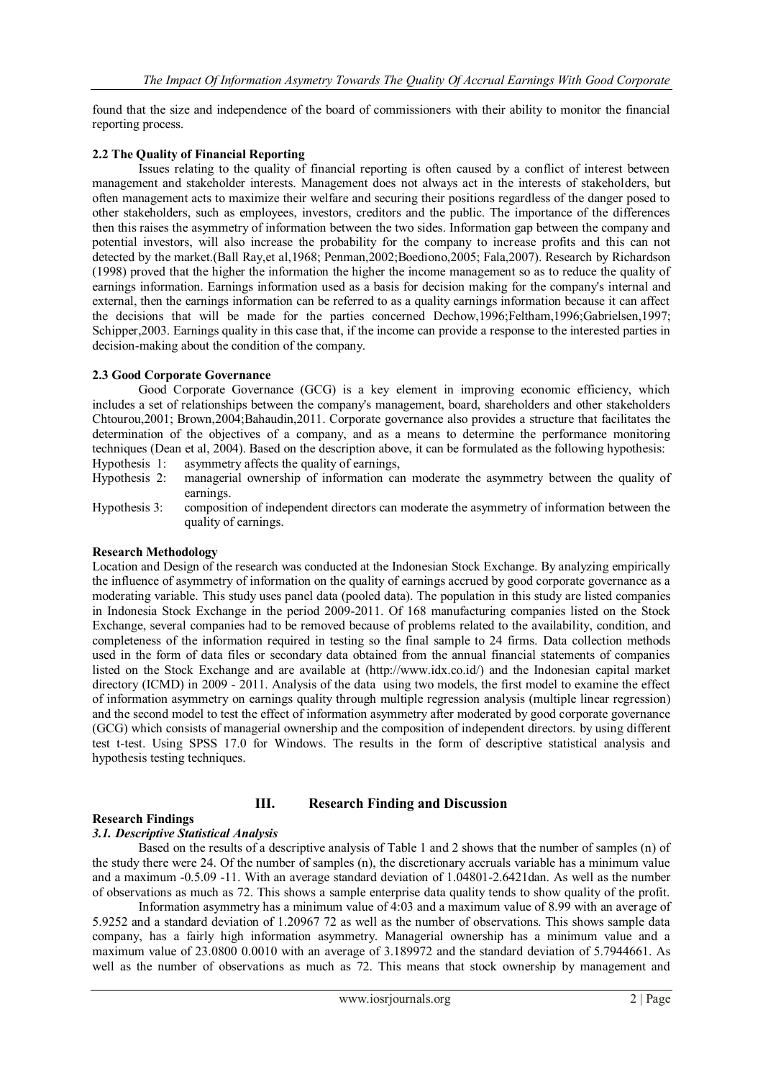found that the size and independence of the board of commissioners with their ability to monitor the financial reporting process.

## **2.2 The Quality of Financial Reporting**

Issues relating to the quality of financial reporting is often caused by a conflict of interest between management and stakeholder interests. Management does not always act in the interests of stakeholders, but often management acts to maximize their welfare and securing their positions regardless of the danger posed to other stakeholders, such as employees, investors, creditors and the public. The importance of the differences then this raises the asymmetry of information between the two sides. Information gap between the company and potential investors, will also increase the probability for the company to increase profits and this can not detected by the market.(Ball Ray,et al,1968; Penman,2002;Boediono,2005; Fala,2007). Research by Richardson (1998) proved that the higher the information the higher the income management so as to reduce the quality of earnings information. Earnings information used as a basis for decision making for the company's internal and external, then the earnings information can be referred to as a quality earnings information because it can affect the decisions that will be made for the parties concerned Dechow,1996;Feltham,1996;Gabrielsen,1997; Schipper,2003. Earnings quality in this case that, if the income can provide a response to the interested parties in decision-making about the condition of the company.

## **2.3 Good Corporate Governance**

Good Corporate Governance (GCG) is a key element in improving economic efficiency, which includes a set of relationships between the company's management, board, shareholders and other stakeholders Chtourou,2001; Brown,2004;Bahaudin,2011. Corporate governance also provides a structure that facilitates the determination of the objectives of a company, and as a means to determine the performance monitoring techniques (Dean et al, 2004). Based on the description above, it can be formulated as the following hypothesis: Hypothesis 1: asymmetry affects the quality of earnings,

- Hypothesis 2: managerial ownership of information can moderate the asymmetry between the quality of earnings.
- Hypothesis 3: composition of independent directors can moderate the asymmetry of information between the quality of earnings.

## **Research Methodology**

Location and Design of the research was conducted at the Indonesian Stock Exchange. By analyzing empirically the influence of asymmetry of information on the quality of earnings accrued by good corporate governance as a moderating variable. This study uses panel data (pooled data). The population in this study are listed companies in Indonesia Stock Exchange in the period 2009-2011. Of 168 manufacturing companies listed on the Stock Exchange, several companies had to be removed because of problems related to the availability, condition, and completeness of the information required in testing so the final sample to 24 firms. Data collection methods used in the form of data files or secondary data obtained from the annual financial statements of companies listed on the Stock Exchange and are available at (http://www.idx.co.id/) and the Indonesian capital market directory (ICMD) in 2009 - 2011. Analysis of the data using two models, the first model to examine the effect of information asymmetry on earnings quality through multiple regression analysis (multiple linear regression) and the second model to test the effect of information asymmetry after moderated by good corporate governance (GCG) which consists of managerial ownership and the composition of independent directors. by using different test t-test. Using SPSS 17.0 for Windows. The results in the form of descriptive statistical analysis and hypothesis testing techniques.

## **III. Research Finding and Discussion**

#### **Research Findings**

# *3.1. Descriptive Statistical Analysis*

Based on the results of a descriptive analysis of Table 1 and 2 shows that the number of samples (n) of the study there were 24. Of the number of samples (n), the discretionary accruals variable has a minimum value and a maximum -0.5.09 -11. With an average standard deviation of 1.04801-2.6421dan. As well as the number of observations as much as 72. This shows a sample enterprise data quality tends to show quality of the profit.

Information asymmetry has a minimum value of 4:03 and a maximum value of 8.99 with an average of 5.9252 and a standard deviation of 1.20967 72 as well as the number of observations. This shows sample data company, has a fairly high information asymmetry. Managerial ownership has a minimum value and a maximum value of 23.0800 0.0010 with an average of 3.189972 and the standard deviation of 5.7944661. As well as the number of observations as much as 72. This means that stock ownership by management and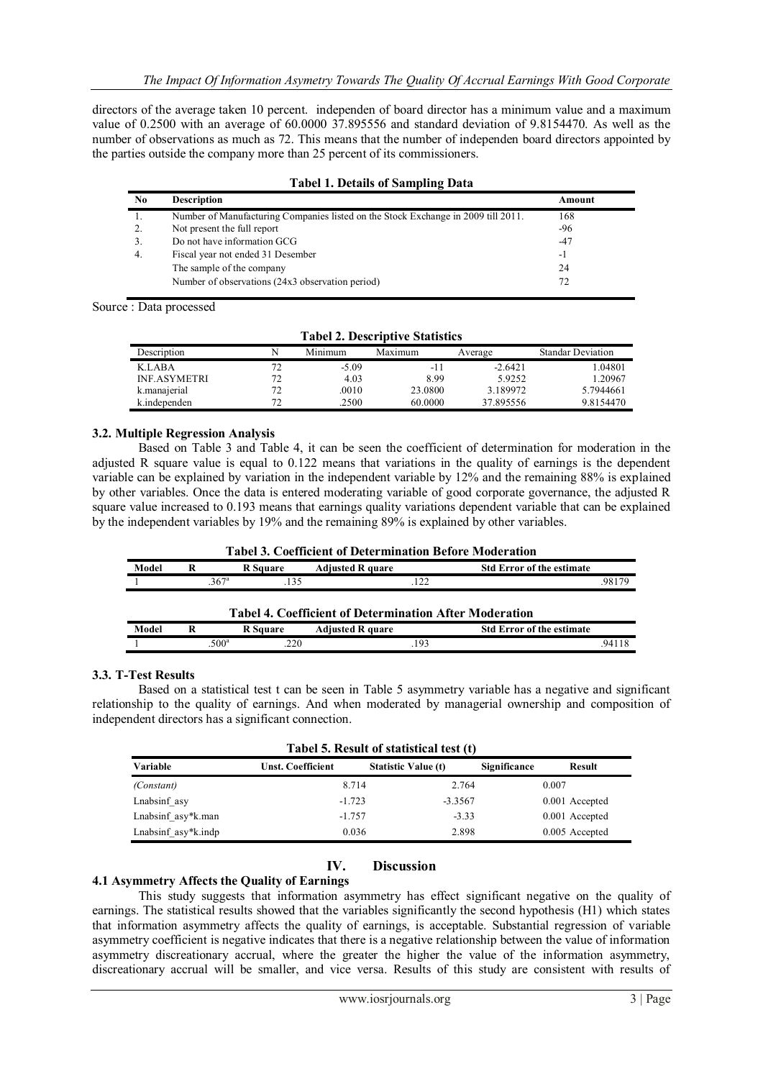directors of the average taken 10 percent. independen of board director has a minimum value and a maximum value of 0.2500 with an average of 60.0000 37.895556 and standard deviation of 9.8154470. As well as the number of observations as much as 72. This means that the number of independen board directors appointed by the parties outside the company more than 25 percent of its commissioners.

| Tabel 1: Detains of Sampling Data |                                                                                   |        |  |  |  |
|-----------------------------------|-----------------------------------------------------------------------------------|--------|--|--|--|
| N <sub>0</sub>                    | <b>Description</b>                                                                | Amount |  |  |  |
| 1.                                | Number of Manufacturing Companies listed on the Stock Exchange in 2009 till 2011. | 168    |  |  |  |
| 2.                                | Not present the full report                                                       | $-96$  |  |  |  |
| 3.                                | Do not have information GCG                                                       | $-47$  |  |  |  |
| $\overline{4}$ .                  | Fiscal year not ended 31 Desember                                                 | $-1$   |  |  |  |
|                                   | The sample of the company                                                         | 24     |  |  |  |
|                                   | Number of observations (24x3 observation period)                                  | 72     |  |  |  |

#### **Tabel 1. Details of Sampling Data**

Source : Data processed

| <b>Tabel 2. Descriptive Statistics</b> |    |         |         |           |                          |  |  |
|----------------------------------------|----|---------|---------|-----------|--------------------------|--|--|
| Description                            |    | Minimum | Maximum | Average   | <b>Standar Deviation</b> |  |  |
| K.LABA                                 |    | $-5.09$ | -11     | $-2.6421$ | 1.04801                  |  |  |
| <b>INF.ASYMETRI</b>                    | 72 | 4.03    | 8.99    | 5.9252    | 1.20967                  |  |  |
| k.manajerial                           | 72 | .0010   | 23.0800 | 3.189972  | 5.7944661                |  |  |
| k.independen                           | 72 | .2500   | 60.0000 | 37.895556 | 9.8154470                |  |  |

## **3.2. Multiple Regression Analysis**

Based on Table 3 and Table 4, it can be seen the coefficient of determination for moderation in the adjusted R square value is equal to 0.122 means that variations in the quality of earnings is the dependent variable can be explained by variation in the independent variable by 12% and the remaining 88% is explained by other variables. Once the data is entered moderating variable of good corporate governance, the adjusted R square value increased to 0.193 means that earnings quality variations dependent variable that can be explained by the independent variables by 19% and the remaining 89% is explained by other variables.

#### **Tabel 3. Coefficient of Determination Before Moderation**

| Model                                                         |  | <b>R</b> Square         | <b>Adjusted R quare</b> | <b>Std Error of the estimate</b> |  |  |  |
|---------------------------------------------------------------|--|-------------------------|-------------------------|----------------------------------|--|--|--|
|                                                               |  | 367 <sup>a</sup><br>135 |                         | 98179<br>122                     |  |  |  |
| <b>Tabel 4. Coefficient of Determination After Moderation</b> |  |                         |                         |                                  |  |  |  |
| Model                                                         |  | <b>R</b> Square         | <b>Adjusted R quare</b> | <b>Std Error of the estimate</b> |  |  |  |
|                                                               |  | 500 <sup>a</sup><br>220 |                         | 19 <sup>2</sup><br>94118         |  |  |  |

#### **3.3. T-Test Results**

Based on a statistical test t can be seen in Table 5 asymmetry variable has a negative and significant relationship to the quality of earnings. And when moderated by managerial ownership and composition of independent directors has a significant connection.

| Tabel 5. Result of statistical test (t) |                          |                            |              |                |  |  |  |
|-----------------------------------------|--------------------------|----------------------------|--------------|----------------|--|--|--|
| Variable                                | <b>Unst. Coefficient</b> | <b>Statistic Value (t)</b> | Significance | Result         |  |  |  |
| (Constant)                              | 8.714                    | 2.764                      |              | 0.007          |  |  |  |
| Lnabsinf asy                            | $-1.723$                 | $-3.3567$                  |              | 0.001 Accepted |  |  |  |
| Lnabsinf asy*k.man                      | $-1.757$                 | $-3.33$                    |              | 0.001 Accepted |  |  |  |
| Lnabsinf asy*k.indp                     | 0.036                    | 2.898                      |              | 0.005 Accepted |  |  |  |

## **IV. Discussion**

#### **4.1 Asymmetry Affects the Quality of Earnings**

This study suggests that information asymmetry has effect significant negative on the quality of earnings. The statistical results showed that the variables significantly the second hypothesis (H1) which states that information asymmetry affects the quality of earnings, is acceptable. Substantial regression of variable asymmetry coefficient is negative indicates that there is a negative relationship between the value of information asymmetry discreationary accrual, where the greater the higher the value of the information asymmetry, discreationary accrual will be smaller, and vice versa. Results of this study are consistent with results of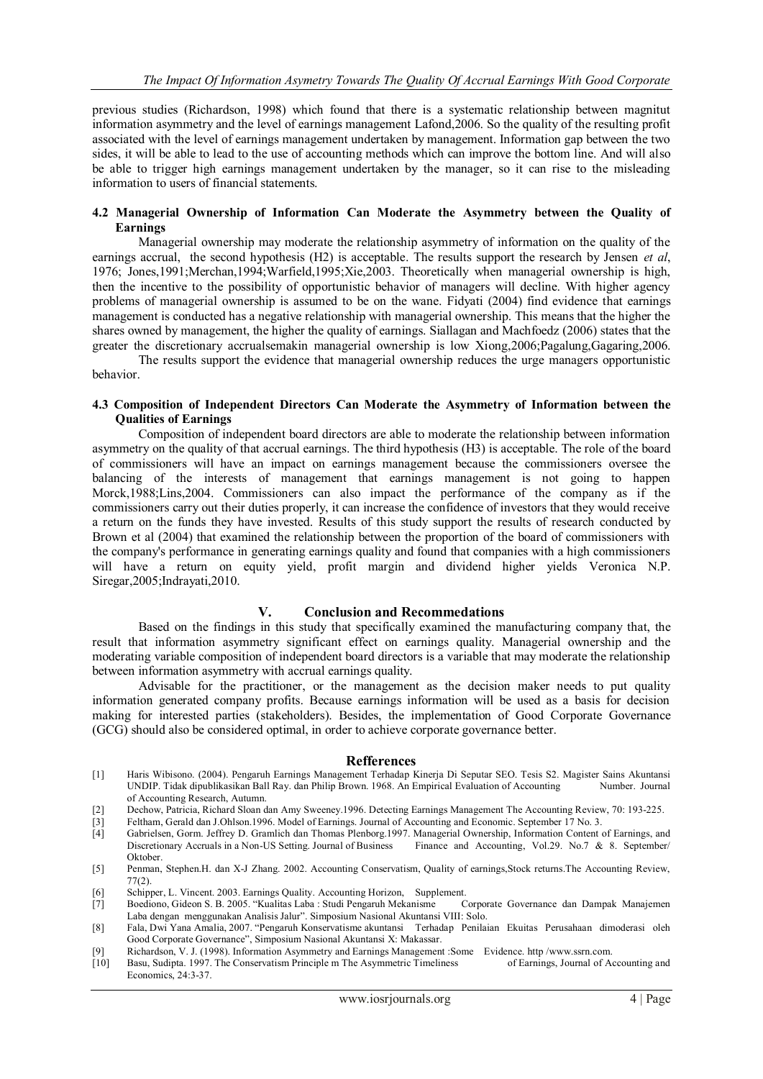previous studies (Richardson, 1998) which found that there is a systematic relationship between magnitut information asymmetry and the level of earnings management Lafond,2006. So the quality of the resulting profit associated with the level of earnings management undertaken by management. Information gap between the two sides, it will be able to lead to the use of accounting methods which can improve the bottom line. And will also be able to trigger high earnings management undertaken by the manager, so it can rise to the misleading information to users of financial statements.

#### **4.2 Managerial Ownership of Information Can Moderate the Asymmetry between the Quality of Earnings**

Managerial ownership may moderate the relationship asymmetry of information on the quality of the earnings accrual, the second hypothesis (H2) is acceptable. The results support the research by Jensen *et al*, 1976; Jones,1991;Merchan,1994;Warfield,1995;Xie,2003. Theoretically when managerial ownership is high, then the incentive to the possibility of opportunistic behavior of managers will decline. With higher agency problems of managerial ownership is assumed to be on the wane. Fidyati (2004) find evidence that earnings management is conducted has a negative relationship with managerial ownership. This means that the higher the shares owned by management, the higher the quality of earnings. Siallagan and Machfoedz (2006) states that the greater the discretionary accrualsemakin managerial ownership is low Xiong,2006;Pagalung,Gagaring,2006. The results support the evidence that managerial ownership reduces the urge managers opportunistic

behavior.

#### **4.3 Composition of Independent Directors Can Moderate the Asymmetry of Information between the Qualities of Earnings**

Composition of independent board directors are able to moderate the relationship between information asymmetry on the quality of that accrual earnings. The third hypothesis (H3) is acceptable. The role of the board of commissioners will have an impact on earnings management because the commissioners oversee the balancing of the interests of management that earnings management is not going to happen Morck,1988;Lins,2004. Commissioners can also impact the performance of the company as if the commissioners carry out their duties properly, it can increase the confidence of investors that they would receive a return on the funds they have invested. Results of this study support the results of research conducted by Brown et al (2004) that examined the relationship between the proportion of the board of commissioners with the company's performance in generating earnings quality and found that companies with a high commissioners will have a return on equity yield, profit margin and dividend higher yields Veronica N.P. Siregar,2005;Indrayati,2010.

## **V. Conclusion and Recommedations**

Based on the findings in this study that specifically examined the manufacturing company that, the result that information asymmetry significant effect on earnings quality. Managerial ownership and the moderating variable composition of independent board directors is a variable that may moderate the relationship between information asymmetry with accrual earnings quality.

Advisable for the practitioner, or the management as the decision maker needs to put quality information generated company profits. Because earnings information will be used as a basis for decision making for interested parties (stakeholders). Besides, the implementation of Good Corporate Governance (GCG) should also be considered optimal, in order to achieve corporate governance better.

#### **Refferences**

- [1] Haris Wibisono. (2004). Pengaruh Earnings Management Terhadap Kinerja Di Seputar SEO. Tesis S2. Magister Sains Akuntansi UNDIP. Tidak dipublikasikan Ball Ray. dan Philip Brown. 1968. An Empirical Evaluation of Accounting Number. Journal of Accounting Research, Autumn.
- [2] Dechow, Patricia, Richard Sloan dan Amy Sweeney.1996. Detecting Earnings Management The Accounting Review, 70: 193-225.
- 
- [3] Feltham, Gerald dan J.Ohlson.1996. Model of Earnings. Journal of Accounting and Economic. September 17 No. 3. Gabrielsen, Gorm. Jeffrey D. Gramlich dan Thomas Plenborg.1997. Managerial Ownership, Information Content of Earnings, and Discretionary Accruals in a Non-US Setting. Journal of Business Finance and Accounting, Vol.29. No. Discretionary Accruals in a Non-US Setting. Journal of Business Oktober.
- [5] Penman, Stephen.H. dan X-J Zhang. 2002. Accounting Conservatism, Quality of earnings,Stock returns.The Accounting Review, 77(2).
- 
- [6] Schipper, L. Vincent. 2003. Earnings Quality. Accounting Horizon, Supplement. [7] Boediono, Gideon S. B. 2005. "Kualitas Laba : Studi Pengaruh Mekanisme Laba dengan menggunakan Analisis Jalur". Simposium Nasional Akuntansi VIII: Solo.
- [8] Fala, Dwi Yana Amalia, 2007. "Pengaruh Konservatisme akuntansi Terhadap Penilaian Ekuitas Perusahaan dimoderasi oleh Good Corporate Governance", Simposium Nasional Akuntansi X: Makassar.
- [9] Richardson, V. J. (1998). Information Asymmetry and Earnings Management :Some Evidence. http /www.ssrn.com.<br>[10] Basu, Sudipta, 1997. The Conservatism Principle m The Asymmetric Timeliness of Earnings, Journal of Accou
- Basu, Sudipta. 1997. The Conservatism Principle m The Asymmetric Timeliness Economics, 24:3-37.